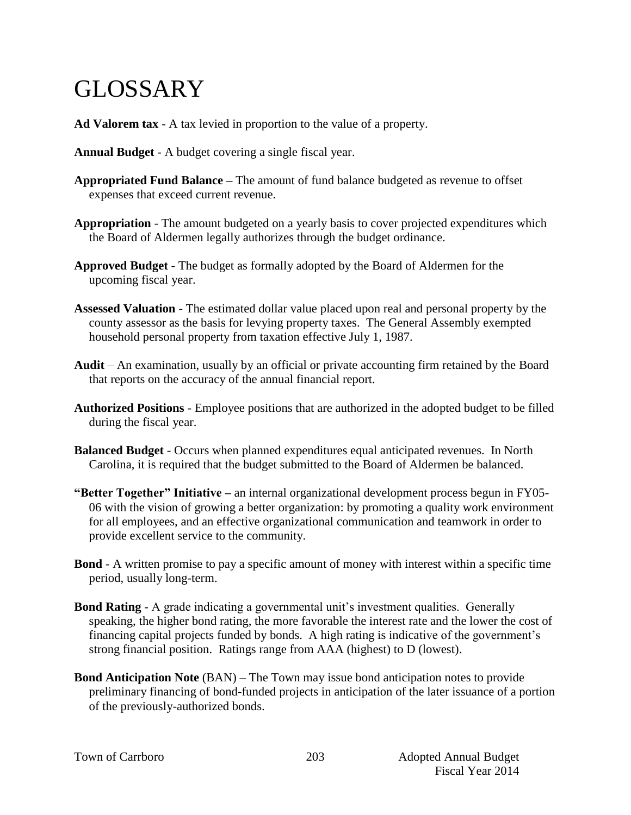## GLOSSARY

- **Ad Valorem tax** A tax levied in proportion to the value of a property.
- **Annual Budget** A budget covering a single fiscal year.
- **Appropriated Fund Balance –** The amount of fund balance budgeted as revenue to offset expenses that exceed current revenue.
- **Appropriation** The amount budgeted on a yearly basis to cover projected expenditures which the Board of Aldermen legally authorizes through the budget ordinance.
- **Approved Budget** The budget as formally adopted by the Board of Aldermen for the upcoming fiscal year.
- **Assessed Valuation** The estimated dollar value placed upon real and personal property by the county assessor as the basis for levying property taxes. The General Assembly exempted household personal property from taxation effective July 1, 1987.
- **Audit** An examination, usually by an official or private accounting firm retained by the Board that reports on the accuracy of the annual financial report.
- **Authorized Positions**  Employee positions that are authorized in the adopted budget to be filled during the fiscal year.
- **Balanced Budget** Occurs when planned expenditures equal anticipated revenues. In North Carolina, it is required that the budget submitted to the Board of Aldermen be balanced.
- **"Better Together" Initiative –** an internal organizational development process begun in FY05- 06 with the vision of growing a better organization: by promoting a quality work environment for all employees, and an effective organizational communication and teamwork in order to provide excellent service to the community.
- **Bond** A written promise to pay a specific amount of money with interest within a specific time period, usually long-term.
- **Bond Rating** A grade indicating a governmental unit's investment qualities. Generally speaking, the higher bond rating, the more favorable the interest rate and the lower the cost of financing capital projects funded by bonds. A high rating is indicative of the government's strong financial position. Ratings range from AAA (highest) to D (lowest).
- **Bond Anticipation Note** (BAN) The Town may issue bond anticipation notes to provide preliminary financing of bond-funded projects in anticipation of the later issuance of a portion of the previously-authorized bonds.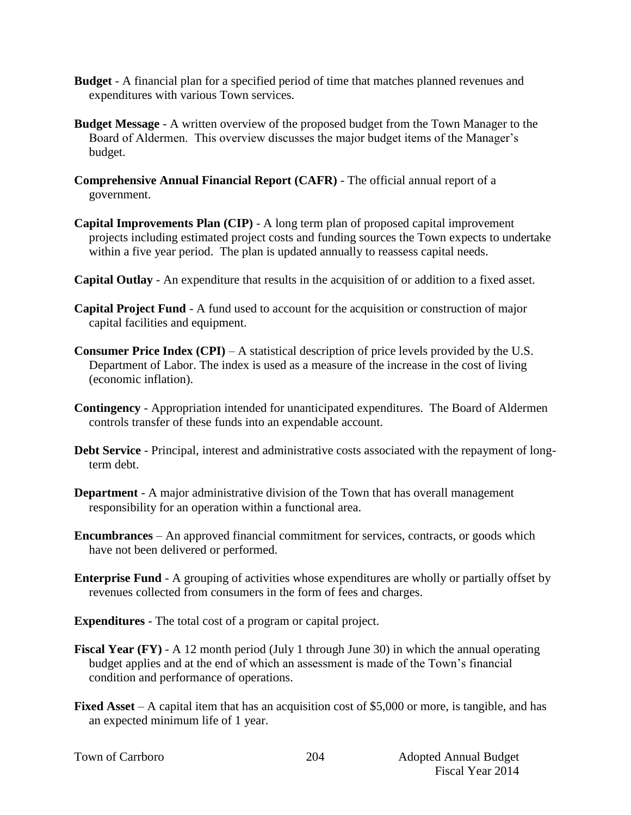- **Budget**  A financial plan for a specified period of time that matches planned revenues and expenditures with various Town services.
- **Budget Message** A written overview of the proposed budget from the Town Manager to the Board of Aldermen. This overview discusses the major budget items of the Manager's budget.
- **Comprehensive Annual Financial Report (CAFR)** The official annual report of a government.
- **Capital Improvements Plan (CIP)** A long term plan of proposed capital improvement projects including estimated project costs and funding sources the Town expects to undertake within a five year period. The plan is updated annually to reassess capital needs.
- **Capital Outlay** An expenditure that results in the acquisition of or addition to a fixed asset.
- **Capital Project Fund** A fund used to account for the acquisition or construction of major capital facilities and equipment.
- **Consumer Price Index (CPI)** A statistical description of price levels provided by the U.S. Department of Labor. The index is used as a measure of the increase in the cost of living (economic inflation).
- **Contingency**  Appropriation intended for unanticipated expenditures. The Board of Aldermen controls transfer of these funds into an expendable account.
- **Debt Service** Principal, interest and administrative costs associated with the repayment of longterm debt.
- **Department**  A major administrative division of the Town that has overall management responsibility for an operation within a functional area.
- **Encumbrances**  An approved financial commitment for services, contracts, or goods which have not been delivered or performed.
- **Enterprise Fund** A grouping of activities whose expenditures are wholly or partially offset by revenues collected from consumers in the form of fees and charges.
- **Expenditures** The total cost of a program or capital project.
- **Fiscal Year (FY)** A 12 month period (July 1 through June 30) in which the annual operating budget applies and at the end of which an assessment is made of the Town's financial condition and performance of operations.
- **Fixed Asset** A capital item that has an acquisition cost of \$5,000 or more, is tangible, and has an expected minimum life of 1 year.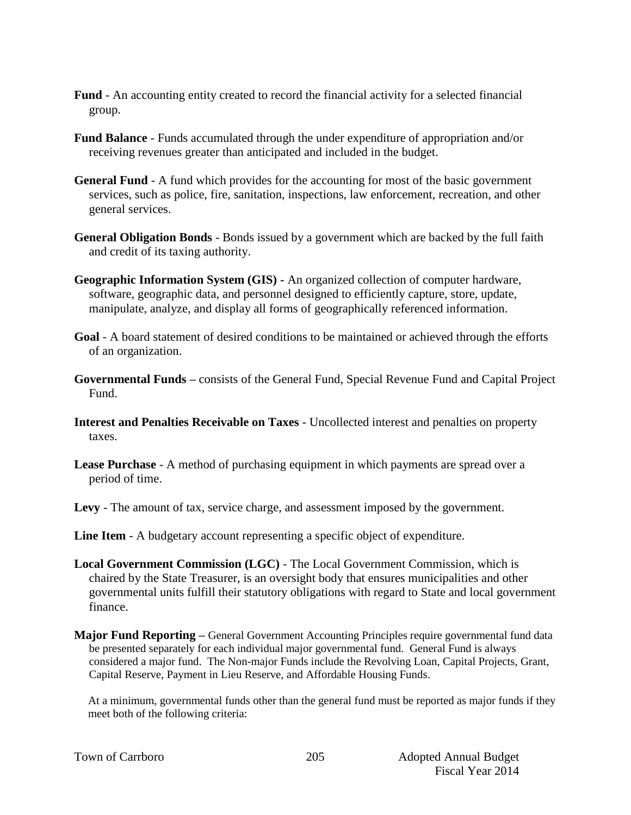- **Fund** An accounting entity created to record the financial activity for a selected financial group.
- **Fund Balance** Funds accumulated through the under expenditure of appropriation and/or receiving revenues greater than anticipated and included in the budget.
- **General Fund** A fund which provides for the accounting for most of the basic government services, such as police, fire, sanitation, inspections, law enforcement, recreation, and other general services.
- **General Obligation Bonds** Bonds issued by a government which are backed by the full faith and credit of its taxing authority.
- **Geographic Information System (GIS) -** An organized collection of computer hardware, software, geographic data, and personnel designed to efficiently capture, store, update, manipulate, analyze, and display all forms of geographically referenced information.
- **Goal** A board statement of desired conditions to be maintained or achieved through the efforts of an organization.
- **Governmental Funds –** consists of the General Fund, Special Revenue Fund and Capital Project Fund.
- **Interest and Penalties Receivable on Taxes** Uncollected interest and penalties on property taxes.
- **Lease Purchase** A method of purchasing equipment in which payments are spread over a period of time.
- **Levy**  The amount of tax, service charge, and assessment imposed by the government.
- **Line Item** A budgetary account representing a specific object of expenditure.
- **Local Government Commission (LGC)**  The Local Government Commission, which is chaired by the State Treasurer, is an oversight body that ensures municipalities and other governmental units fulfill their statutory obligations with regard to State and local government finance.
- **Major Fund Reporting –** General Government Accounting Principles require governmental fund data be presented separately for each individual major governmental fund. General Fund is always considered a major fund. The Non-major Funds include the Revolving Loan, Capital Projects, Grant, Capital Reserve, Payment in Lieu Reserve, and Affordable Housing Funds.

At a minimum, governmental funds other than the general fund must be reported as major funds if they meet both of the following criteria:

|  |  | Town of Carrboro |
|--|--|------------------|
|--|--|------------------|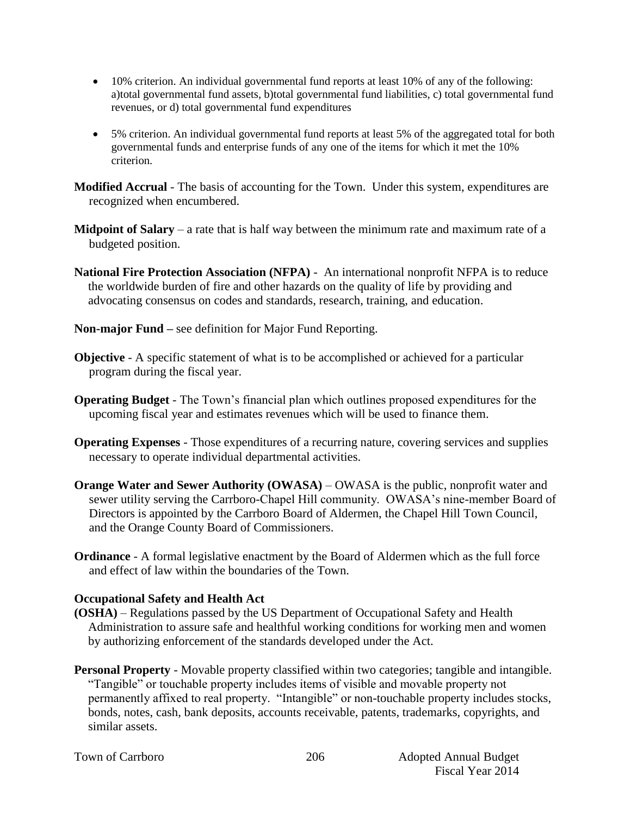- 10% criterion. An individual governmental fund reports at least 10% of any of the following: a)total governmental fund assets, b)total governmental fund liabilities, c) total governmental fund revenues, or d) total governmental fund expenditures
- 5% criterion. An individual governmental fund reports at least 5% of the aggregated total for both governmental funds and enterprise funds of any one of the items for which it met the 10% criterion.

**Modified Accrual** - The basis of accounting for the Town. Under this system, expenditures are recognized when encumbered.

- **Midpoint of Salary** a rate that is half way between the minimum rate and maximum rate of a budgeted position.
- **National Fire Protection Association (NFPA)**  An international nonprofit NFPA is to reduce the worldwide burden of fire and other hazards on the quality of life by providing and advocating consensus on codes and standards, research, training, and education.
- **Non-major Fund –** see definition for Major Fund Reporting.
- **Objective** A specific statement of what is to be accomplished or achieved for a particular program during the fiscal year.
- **Operating Budget** The Town's financial plan which outlines proposed expenditures for the upcoming fiscal year and estimates revenues which will be used to finance them.
- **Operating Expenses** Those expenditures of a recurring nature, covering services and supplies necessary to operate individual departmental activities.
- **Orange Water and Sewer Authority (OWASA)** OWASA is the public, nonprofit water and sewer utility serving the Carrboro-Chapel Hill community. OWASA's nine-member Board of Directors is appointed by the Carrboro Board of Aldermen, the Chapel Hill Town Council, and the Orange County Board of Commissioners.
- **Ordinance** A formal legislative enactment by the Board of Aldermen which as the full force and effect of law within the boundaries of the Town.

## **Occupational Safety and Health Act**

- **(OSHA)** Regulations passed by the US Department of Occupational Safety and Health Administration to assure safe and healthful working conditions for working men and women by authorizing enforcement of the standards developed under the Act.
- **Personal Property** Movable property classified within two categories; tangible and intangible. "Tangible" or touchable property includes items of visible and movable property not permanently affixed to real property. "Intangible" or non-touchable property includes stocks, bonds, notes, cash, bank deposits, accounts receivable, patents, trademarks, copyrights, and similar assets.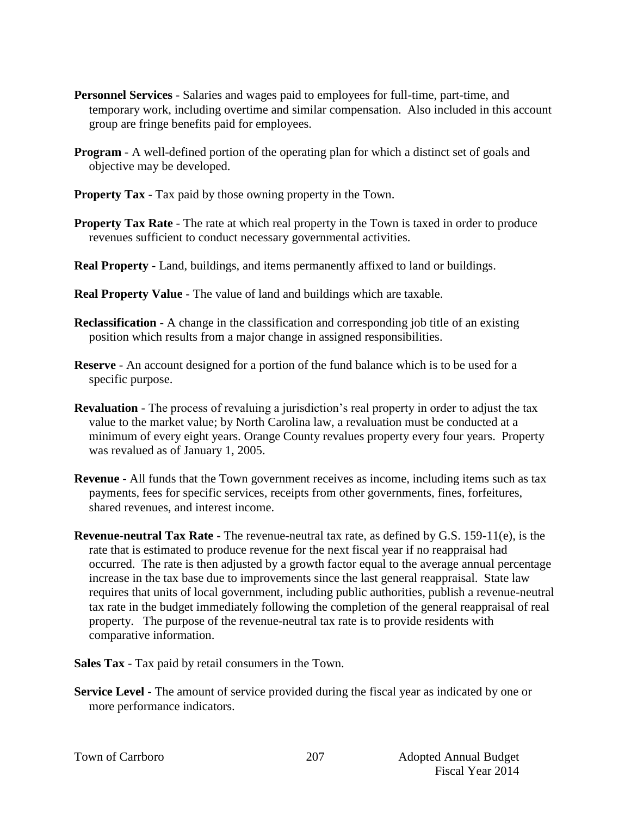- **Personnel Services** Salaries and wages paid to employees for full-time, part-time, and temporary work, including overtime and similar compensation. Also included in this account group are fringe benefits paid for employees.
- **Program** A well-defined portion of the operating plan for which a distinct set of goals and objective may be developed.
- **Property Tax** Tax paid by those owning property in the Town.
- **Property Tax Rate** The rate at which real property in the Town is taxed in order to produce revenues sufficient to conduct necessary governmental activities.
- **Real Property** Land, buildings, and items permanently affixed to land or buildings.
- **Real Property Value** The value of land and buildings which are taxable.
- **Reclassification** A change in the classification and corresponding job title of an existing position which results from a major change in assigned responsibilities.
- **Reserve** An account designed for a portion of the fund balance which is to be used for a specific purpose.
- **Revaluation**  The process of revaluing a jurisdiction's real property in order to adjust the tax value to the market value; by North Carolina law, a revaluation must be conducted at a minimum of every eight years. Orange County revalues property every four years. Property was revalued as of January 1, 2005.
- **Revenue**  All funds that the Town government receives as income, including items such as tax payments, fees for specific services, receipts from other governments, fines, forfeitures, shared revenues, and interest income.
- **Revenue-neutral Tax Rate -** The revenue-neutral tax rate, as defined by G.S. 159-11(e), is the rate that is estimated to produce revenue for the next fiscal year if no reappraisal had occurred. The rate is then adjusted by a growth factor equal to the average annual percentage increase in the tax base due to improvements since the last general reappraisal. State law requires that units of local government, including public authorities, publish a revenue-neutral tax rate in the budget immediately following the completion of the general reappraisal of real property. The purpose of the revenue-neutral tax rate is to provide residents with comparative information.
- **Sales Tax** Tax paid by retail consumers in the Town.
- **Service Level** The amount of service provided during the fiscal year as indicated by one or more performance indicators.